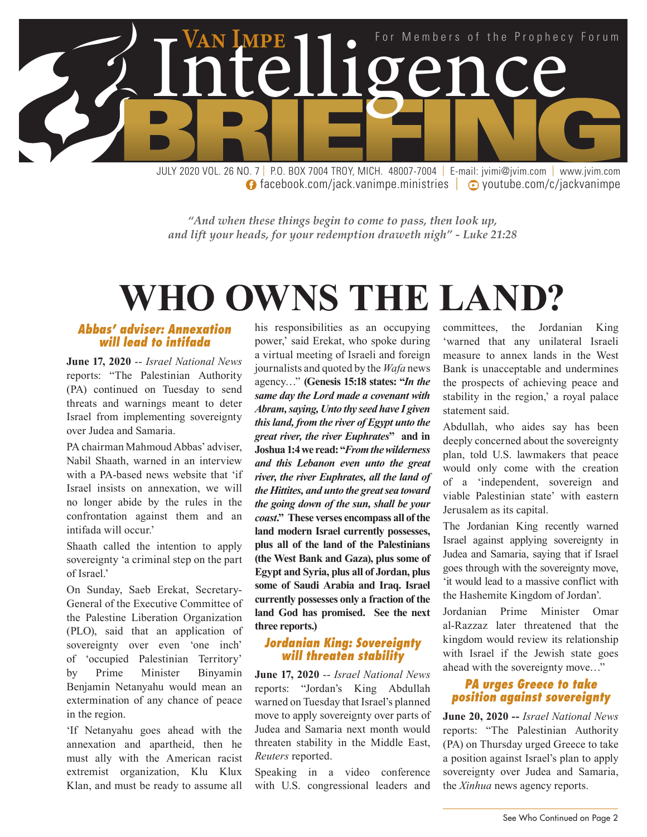

**facebook.com/jack.vanimpe.ministries | ⊙ youtube.com/c/jackvanimpe** 

*"And when these things begin to come to pass, then look up, and lift your heads, for your redemption draweth nigh" - Luke 21:28*

## **WHO OWNS THE LAND?**

#### *Abbas' adviser: Annexation will lead to intifada*

**June 17, 2020** -- *Israel National News* reports: "The Palestinian Authority (PA) continued on Tuesday to send threats and warnings meant to deter Israel from implementing sovereignty over Judea and Samaria.

PA chairman Mahmoud Abbas' adviser, Nabil Shaath, warned in an interview with a PA-based news website that 'if Israel insists on annexation, we will no longer abide by the rules in the confrontation against them and an intifada will occur.'

Shaath called the intention to apply sovereignty 'a criminal step on the part of Israel.'

On Sunday, Saeb Erekat, Secretary-General of the Executive Committee of the Palestine Liberation Organization (PLO), said that an application of sovereignty over even 'one inch' of 'occupied Palestinian Territory' by Prime Minister Binyamin Benjamin Netanyahu would mean an extermination of any chance of peace in the region.

'If Netanyahu goes ahead with the annexation and apartheid, then he must ally with the American racist extremist organization, Klu Klux Klan, and must be ready to assume all

his responsibilities as an occupying power,' said Erekat, who spoke during a virtual meeting of Israeli and foreign journalists and quoted by the *Wafa* news agency…" **(Genesis 15:18 states: "***In the same day the Lord made a covenant with Abram, saying, Unto thy seed have I given this land, from the river of Egypt unto the great river, the river Euphrates***" and in Joshua 1:4 we read: "***From the wilderness and this Lebanon even unto the great river, the river Euphrates, all the land of the Hittites, and unto the great sea toward the going down of the sun, shall be your coast***." These verses encompass all of the land modern Israel currently possesses, plus all of the land of the Palestinians (the West Bank and Gaza), plus some of Egypt and Syria, plus all of Jordan, plus some of Saudi Arabia and Iraq. Israel currently possesses only a fraction of the land God has promised. See the next three reports.)**

#### *Jordanian King: Sovereignty will threaten stability*

**June 17, 2020** -- *Israel National News* reports: "Jordan's King Abdullah warned on Tuesday that Israel's planned move to apply sovereignty over parts of Judea and Samaria next month would threaten stability in the Middle East, *Reuters* reported.

Speaking in a video conference with U.S. congressional leaders and committees, the Jordanian King 'warned that any unilateral Israeli measure to annex lands in the West Bank is unacceptable and undermines the prospects of achieving peace and stability in the region,' a royal palace statement said.

Abdullah, who aides say has been deeply concerned about the sovereignty plan, told U.S. lawmakers that peace would only come with the creation of a 'independent, sovereign and viable Palestinian state' with eastern Jerusalem as its capital.

The Jordanian King recently warned Israel against applying sovereignty in Judea and Samaria, saying that if Israel goes through with the sovereignty move, 'it would lead to a massive conflict with the Hashemite Kingdom of Jordan'.

Jordanian Prime Minister Omar al-Razzaz later threatened that the kingdom would review its relationship with Israel if the Jewish state goes ahead with the sovereignty move…"

#### *PA urges Greece to take position against sovereignty*

**June 20, 2020 --** *Israel National News* reports: "The Palestinian Authority (PA) on Thursday urged Greece to take a position against Israel's plan to apply sovereignty over Judea and Samaria, the *Xinhua* news agency reports.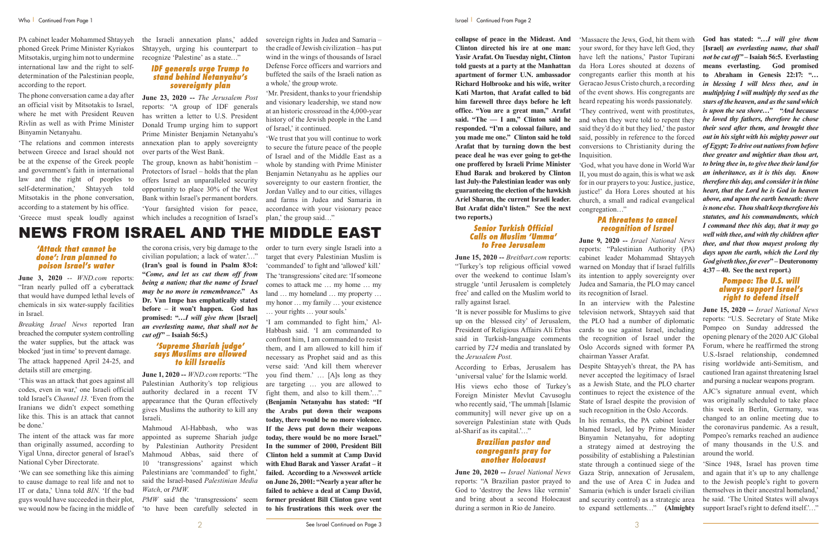PA cabinet leader Mohammed Shtayyeh phoned Greek Prime Minister Kyriakos Mitsotakis, urging him not to undermine international law and the right to selfdetermination of the Palestinian people, according to the report.

The phone conversation came a day after an official visit by Mitsotakis to Israel, where he met with President Reuven Rivlin as well as with Prime Minister Binyamin Netanyahu.

'The relations and common interests between Greece and Israel should not be at the expense of the Greek people and government's faith in international law and the right of peoples to self-determination,' Shtayyeh told Mitsotakis in the phone conversation, according to a statement by his office.

'Greece must speak loudly against

the Israeli annexation plans,' added Shtayyeh, urging his counterpart to recognize 'Palestine' as a state…"

#### *IDF generals urge Trump to stand behind Netanyahu's sovereignty plan*

**June 23, 2020 --** *The Jerusalem Post* reports: "A group of IDF generals has written a letter to U.S. President Donald Trump urging him to support Prime Minister Benjamin Netanyahu's annexation plan to apply sovereignty over parts of the West Bank.

The group, known as habit'honistim – Protectors of Israel – holds that the plan offers Israel an unparalleled security opportunity to place 30% of the West Bank within Israel's permanent borders. 'Your farsighted vision for peace, which includes a recognition of Israel's sovereign rights in Judea and Samaria – the cradle of Jewish civilization – has put wind in the wings of thousands of Israel Defense Force officers and warriors and buffeted the sails of the Israeli nation as a whole,' the group wrote.

'Mr. President, thanks to your friendship and visionary leadership, we stand now at an historic crossroad in the 4,000-year history of the Jewish people in the Land of Israel,' it continued.

'We trust that you will continue to work to secure the future peace of the people of Israel and of the Middle East as a whole by standing with Prime Minister Benjamin Netanyahu as he applies our sovereignty to our eastern frontier, the Jordan Valley and to our cities, villages and farms in Judea and Samaria in accordance with your visionary peace plan,' the group said…"

*PMW* said the 'transgressions' seem 'to have been carefully selected in

## NEWS FROM ISRAEL AND THE MIDDLE EAST

#### *'Attack that cannot be done': Iran planned to poison Israel's water*

**June 3, 2020** -- *WND.com* reports: "Iran nearly pulled off a cyberattack that would have dumped lethal levels of chemicals in six water-supply facilities in Israel.

*Breaking Israel News* reported Iran breached the computer system controlling the water supplies, but the attack was blocked 'just in time' to prevent damage. The attack happened April 24-25, and details still are emerging.

'This was an attack that goes against all codes, even in war,' one Israeli official told Israel's *Channel 13*. 'Even from the Iranians we didn't expect something like this. This is an attack that cannot be done.'

The intent of the attack was far more than originally assumed, according to Yigal Unna, director general of Israel's National Cyber Directorate.

'We can see something like this aiming to cause damage to real life and not to IT or data,' Unna told *BIN*. 'If the bad guys would have succeeded in their plot, we would now be facing in the middle of

the corona crisis, very big damage to the civilian population; a lack of water.'…" **(Iran's goal is found in Psalm 83:4: "***Come, and let us cut them off from being a nation; that the name of Israel may be no more in remembrance***." As Dr. Van Impe has emphatically stated before – it won't happen. God has promised: "***…I will give them* **[Israel]**  *an everlasting name, that shall not be cut off***" – Isaiah 56:5.)**

#### *'Supreme Shariah judge' says Muslims are allowed to kill Israelis*

**June 1, 2020 --** *WND.com* reports: "The Palestinian Authority's top religious authority declared in a recent TV appearance that the Quran effectively gives Muslims the authority to kill any Israeli.

Mahmoud Al-Habbash, who was appointed as supreme Shariah judge by Palestinian Authority President Mahmoud Abbas, said there of 10 'transgressions' against which Palestinians are 'commanded' to fight,' said the Israel-based *Palestinian Media Watch*, or *PMW*.

order to turn every single Israeli into a target that every Palestinian Muslim is 'commanded' to fight and 'allowed' kill.' The 'transgressions' cited are: 'If someone comes to attack me … my home … my land … my homeland … my property … my honor … my family … your existence … your rights … your souls.'

'I am commanded to fight him,' Al-Habbash said. 'I am commanded to confront him, I am commanded to resist them, and I am allowed to kill him if necessary as Prophet said and as this verse said: 'And kill them wherever you find them.' … [A]s long as they are targeting … you are allowed to fight them, and also to kill them.'…" **(Benjamin Netanyahu has stated: "If the Arabs put down their weapons today, there would be no more violence. If the Jews put down their weapons today, there would be no more Israel." In the summer of 2000, President Bill Clinton held a summit at Camp David with Ehud Barak and Yasser Arafat – it failed. According to a** *Newsweek* **article on June 26, 2001: "Nearly a year after he failed to achieve a deal at Camp David, former president Bill Clinton gave vent to his frustrations this week over the** 

'Since 1948, Israel has proven time and again that it's up to any challenge to the Jewish people's right to govern themselves in their ancestral homeland,' he said. 'The United States will always support Israel's right to defend itself.'..."

**collapse of peace in the Mideast. And Clinton directed his ire at one man: Yasir Arafat. On Tuesday night, Clinton told guests at a party at the Manhattan apartment of former U.N. ambassador Richard Holbrooke and his wife, writer Kati Marton, that Arafat called to bid him farewell three days before he left office. "You are a great man," Arafat said. "The — I am," Clinton said he responded. "I'm a colossal failure, and you made me one." Clinton said he told Arafat that by turning down the best peace deal he was ever going to get-the one proffered by Israeli Prime Minister Ehud Barak and brokered by Clinton last July-the Palestinian leader was only guaranteeing the election of the hawkish Ariel Sharon, the current Israeli leader. But Arafat didn't listen." See the next two reports.)**

#### *Senior Turkish Official Calls on Muslim 'Umma' to Free Jerusalem*

**June 15, 2020 --** *Breitbart.com* reports: "Turkey's top religious official vowed over the weekend to continue Islam's struggle 'until Jerusalem is completely free' and called on the Muslim world to rally against Israel.

'It is never possible for Muslims to give up on the blessed city' of Jerusalem, President of Religious Affairs Ali Erbas said in Turkish-language comments carried by *T24* media and translated by the *Jerusalem Post*.

According to Erbas, Jerusalem has 'universal value' for the Islamic world. His views echo those of Turkey's Foreign Minister Mevlut Cavusoglu who recently said, 'The ummah [Islamic community] will never give up on a sovereign Palestinian state with Quds al-Sharif as its capital.'…"

#### *Brazilian pastor and congregants pray for another Holocaust*

**June 20, 2020 --** *Israel National News* reports: "A Brazilian pastor prayed to God to 'destroy the Jews like vermin' and bring about a second Holocaust during a sermon in Rio de Janeiro.

'Massacre the Jews, God, hit them with your sword, for they have left God, they have left the nations,' Pastor Tupirani da Hora Lores shouted at dozens of congregants earlier this month at his Geracao Jesus Cristo church, a recording of the event shows. His congregants are heard repeating his words passionately.

'They contrived, went with prostitutes, and when they were told to repent they said they'd do it but they lied,' the pastor said, possibly in reference to the forced conversions to Christianity during the

'God, what you have done in World War II, you must do again, this is what we ask for in our prayers to you: Justice, justice, justice!' da Hora Lores shouted at his church, a small and radical evangelical

Inquisition. congregation…"

#### *PA threatens to cancel recognition of Israel*

**June 9, 2020 --** *Israel National News* reports: "Palestinian Authority (PA) cabinet leader Mohammad Shtayyeh warned on Monday that if Israel fulfills its intention to apply sovereignty over Judea and Samaria, the PLO may cancel its recognition of Israel.

In an interview with the Palestine television network, Shtayyeh said that the PLO had a number of diplomatic cards to use against Israel, including the recognition of Israel under the Oslo Accords signed with former PA chairman Yasser Arafat.

Despite Shtayyeh's threat, the PA has never accepted the legitimacy of Israel as a Jewish State, and the PLO charter continues to reject the existence of the State of Israel despite the provision of such recognition in the Oslo Accords.

In his remarks, the PA cabinet leader blamed Israel, led by Prime Minister Binyamin Netanyahu, for adopting a strategy aimed at destroying the possibility of establishing a Palestinian state through a continued siege of the Gaza Strip, annexation of Jerusalem, and the use of Area C in Judea and Samaria (which is under Israeli civilian and security control) as a strategic area to expand settlements…" **(Almighty** 

**God has stated: "…***I will give them* **[Israel]** *an everlasting name, that shall not be cut off" –* **Isaiah 56:5. Everlasting means everlasting. God promised to Abraham in Genesis 22:17: "***… in blessing I will bless thee, and in multiplying I will multiply thy seed as the stars of the heaven, and as the sand which is upon the sea shore…"* **"***And because he loved thy fathers, therefore he chose their seed after them, and brought thee out in his sight with his mighty power out of Egypt; To drive out nations from before thee greater and mightier than thou art, to bring thee in, to give thee their land for an inheritance, as it is this day. Know therefore this day, and consider it in thine heart, that the Lord he is God in heaven above, and upon the earth beneath: there is none else. Thou shalt keep therefore his statutes, and his commandments, which I command thee this day, that it may go well with thee, and with thy children after thee, and that thou mayest prolong thy days upon the earth, which the Lord thy God giveth thee, for ever***" – Deuteronomy 4:37 – 40. See the next report.)**

#### *Pompeo: The U.S. will always support Israel's right to defend itself*

**June 15, 2020 --** *Israel National News* reports: "U.S. Secretary of State Mike Pompeo on Sunday addressed the opening plenary of the 2020 AJC Global Forum, where he reaffirmed the strong U.S.-Israel relationship, condemned rising worldwide anti-Semitism, and cautioned Iran against threatening Israel and pursing a nuclear weapons program.

AJC's signature annual event, which was originally scheduled to take place this week in Berlin, Germany, was changed to an online meeting due to the coronavirus pandemic. As a result, Pompeo's remarks reached an audience of many thousands in the U.S. and around the world.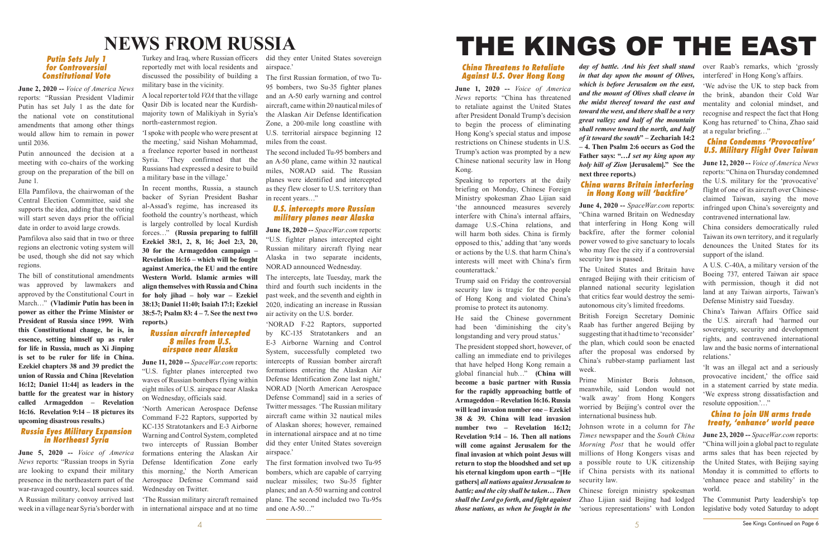## **NEWS FROM RUSSIA**

#### *Putin Sets July 1 for Controversial Constitutional Vote*

**June 2, 2020 --** *Voice of America News* reports: "Russian President Vladimir Putin has set July 1 as the date for the national vote on constitutional amendments that among other things would allow him to remain in power until 2036.

Putin announced the decision at a meeting with co-chairs of the working group on the preparation of the bill on June 1.

Ella Pamfilova, the chairwoman of the Central Election Committee, said she supports the idea, adding that the voting will start seven days prior the official date in order to avoid large crowds.

Pamfilova also said that in two or three regions an electronic voting system will be used, though she did not say which regions.

The bill of constitutional amendments was approved by lawmakers and approved by the Constitutional Court in March…" **(Vladimir Putin has been in power as either the Prime Minister or President of Russia since 1999. With this Constitutional change, he is, in essence, setting himself up as ruler for life in Russia, much as Xi Jinping is set to be ruler for life in China. Ezekiel chapters 38 and 39 predict the union of Russia and China [Revelation 16:12; Daniel 11:44] as leaders in the battle for the greatest war in history called Armageddon – Revelation 16:16. Revelation 9:14 – 18 pictures its upcoming disastrous results.)**

#### *Russia Eyes Military Expansion in Northeast Syria*

**June 5, 2020 --** *Voice of America News* reports: "Russian troops in Syria are looking to expand their military presence in the northeastern part of the war-ravaged country, local sources said. A Russian military convoy arrived last week in a village near Syria's border with

Turkey and Iraq, where Russian officers did they enter United States sovereign reportedly met with local residents and discussed the possibility of building a military base in the vicinity.

A local reporter told *VOA* that the village Qasir Dib is located near the Kurdishmajority town of Malikiyah in Syria's north-easternmost region.

'I spoke with people who were present at the meeting,' said Nishan Mohammad, a freelance reporter based in northeast Syria. 'They confirmed that the Russians had expressed a desire to build a military base in the village.'

In recent months, Russia, a staunch backer of Syrian President Bashar al-Assad's regime, has increased its foothold the country's northeast, which is largely controlled by local Kurdish forces…" **(Russia preparing to fulfill Ezekiel 38:1, 2, 8, 16; Joel 2:3, 20, 30 for the Armageddon campaign – Revelation 16:16 – which will be fought against America, the EU and the entire Western World. Islamic armies will align themselves with Russia and China for holy jihad – holy war – Ezekiel 38:13; Daniel 11:40; Isaiah 17:1; Ezekiel 38:5-7; Psalm 83: 4 – 7. See the next two reports.)**

#### *Russian aircraft intercepted 8 miles from U.S. airspace near Alaska*

**June 11, 2020 --** *SpaceWar.com* reports: "U.S. fighter planes intercepted two waves of Russian bombers flying within eight miles of U.S. airspace near Alaska on Wednesday, officials said.

'North American Aerospace Defense Command F-22 Raptors, supported by KC-135 Stratotankers and E-3 Airborne Warning and Control System, completed two intercepts of Russian Bomber formations entering the Alaskan Air Defense Identification Zone early this morning,' the North American Aerospace Defense Command said Wednesday on Twitter.

airspace.'

The first Russian formation, of two Tu-95 bombers, two Su-35 fighter planes and an A-50 early warning and control aircraft, came within 20 nautical miles of the Alaskan Air Defense Identification Zone, a 200-mile long coastline with U.S. territorial airspace beginning 12 miles from the coast.

The second included Tu-95 bombers and an A-50 plane, came within 32 nautical miles, NORAD said. The Russian planes were identified and intercepted as they flew closer to U.S. territory than in recent years…"

#### *U.S. intercepts more Russian military planes near Alaska*

**June 18, 2020 --** *SpaceWar.com* reports: "U.S. fighter planes intercepted eight Russian military aircraft flying near Alaska in two separate incidents, NORAD announced Wednesday.

'The Russian military aircraft remained in international airspace and at no time and one A-50…"

The intercepts, late Tuesday, mark the third and fourth such incidents in the past week, and the seventh and eighth in 2020, indicating an increase in Russian air activity on the U.S. border.

'NORAD F-22 Raptors, supported by KC-135 Stratotankers and an E-3 Airborne Warning and Control System, successfully completed two intercepts of Russian bomber aircraft formations entering the Alaskan Air Defense Identification Zone last night,' NORAD [North American Aerospace Defense Command] said in a series of Twitter messages. 'The Russian military aircraft came within 32 nautical miles of Alaskan shores; however, remained in international airspace and at no time did they enter United States sovereign airspace.'

The first formation involved two Tu-95 bombers, which are capable of carrying nuclear missiles; two Su-35 fighter planes; and an A-50 warning and control plane. The second included two Tu-95s

# THE KINGS OF THE EAST

#### *China Threatens to Retaliate Against U.S. Over Hong Kong*

**June 1, 2020 --** *Voice of America News* reports: "China has threatened to retaliate against the United States after President Donald Trump's decision to begin the process of eliminating Hong Kong's special status and impose restrictions on Chinese students in U.S. Trump's action was prompted by a new Chinese national security law in Hong Kong.

Speaking to reporters at the daily briefing on Monday, Chinese Foreign Ministry spokesman Zhao Lijian said 'the announced measures severely interfere with China's internal affairs, damage U.S.-China relations, and will harm both sides. China is firmly opposed to this,' adding that 'any words or actions by the U.S. that harm China's interests will meet with China's firm counterattack.'

Trump said on Friday the controversial security law is tragic for the people of Hong Kong and violated China's promise to protect its autonomy.

He said the Chinese government had been 'diminishing the city's longstanding and very proud status.' The president stopped short, however, of calling an immediate end to privileges that have helped Hong Kong remain a global financial hub…" **(China will become a basic partner with Russia for the rapidly approaching battle of Armageddon – Revelation 16:16. Russia will lead invasion number one – Ezekiel 38 & 39. China will lead invasion number two – Revelation 16:12; Revelation 9:14 – 16. Then all nations will come against Jerusalem for the final invasion at which point Jesus will return to stop the bloodshed and set up his eternal kingdom upon earth – "[He gathers]** *all nations against Jerusalem to battle; and the city shall be taken… Then shall the Lord go forth, and fight against* 

*those nations, as when he fought in the* 

*day of battle. And his feet shall stand in that day upon the mount of Olives, which is before Jerusalem on the east, and the mount of Olives shall cleave in the midst thereof toward the east and toward the west, and there shall be a very great valley; and half of the mountain shall remove toward the north, and half of it toward the south***" – Zechariah 14:2 – 4. Then Psalm 2:6 occurs as God the Father says: "…***I set my king upon my holy hill of Zion* **[Jerusalem]." See the** 

**next three reports.)**

### *China warns Britain interfering in Hong Kong will 'backfire'*

**June 4, 2020 --** *SpaceWar.com* reports: "China warned Britain on Wednesday that interfering in Hong Kong will backfire, after the former colonial power vowed to give sanctuary to locals who may flee the city if a controversial security law is passed.

The United States and Britain have enraged Beijing with their criticism of planned national security legislation that critics fear would destroy the semiautonomous city's limited freedoms.

British Foreign Secretary Dominic Raab has further angered Beijing by suggesting that it had time to 'reconsider' the plan, which could soon be enacted after the proposal was endorsed by China's rubber-stamp parliament last week.

Prime Minister Boris Johnson, meanwhile, said London would not 'walk away' from Hong Kongers worried by Beijing's control over the international business hub.

Johnson wrote in a column for *The Times* newspaper and the *South China Morning Post* that he would offer millions of Hong Kongers visas and a possible route to UK citizenship if China persists with its national

security law.

Chinese foreign ministry spokesman Zhao Lijian said Beijing had lodged 'serious representations' with London over Raab's remarks, which 'grossly interfered' in Hong Kong's affairs.

'We advise the UK to step back from the brink, abandon their Cold War mentality and colonial mindset, and recognise and respect the fact that Hong Kong has returned' to China, Zhao said at a regular briefing…"

### *China Condemns 'Provocative' U.S. Military Flight Over Taiwan*

**June 12, 2020 --** *Voice of America News* reports: "China on Thursday condemned the U.S. military for the 'provocative' flight of one of its aircraft over Chineseclaimed Taiwan, saying the move infringed upon China's sovereignty and contravened international law.

China considers democratically ruled Taiwan its own territory, and it regularly denounces the United States for its support of the island.

A U.S. C-40A, a military version of the Boeing 737, entered Taiwan air space with permission, though it did not land at any Taiwan airports, Taiwan's Defense Ministry said Tuesday.

China's Taiwan Affairs Office said the U.S. aircraft had 'harmed our sovereignty, security and development rights, and contravened international law and the basic norms of international relations.'

'It was an illegal act and a seriously provocative incident,' the office said in a statement carried by state media. 'We express strong dissatisfaction and resolute opposition.'…"

#### *China to join UN arms trade treaty, 'enhance' world peace*

**June 23, 2020 --** *SpaceWar.com* reports: "China will join a global pact to regulate arms sales that has been rejected by the United States, with Beijing saying Monday it is committed to efforts to 'enhance peace and stability' in the world.

The Communist Party leadership's top legislative body voted Saturday to adopt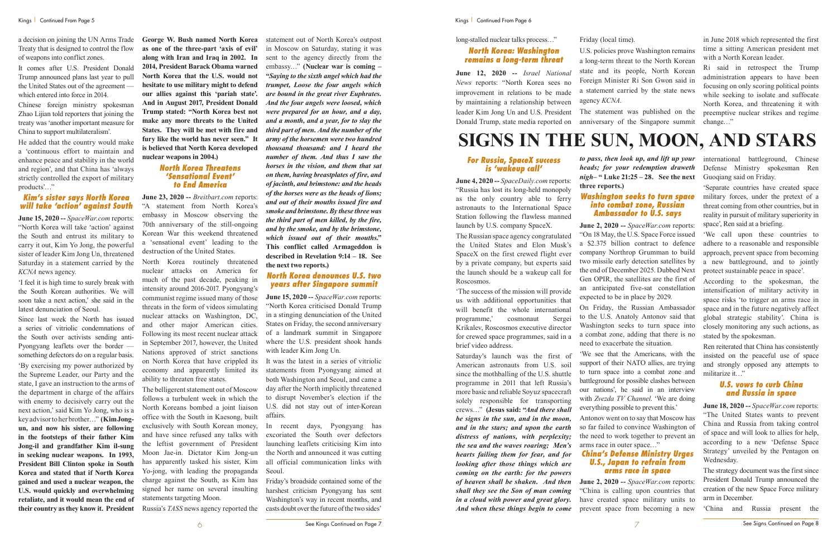6 7 See Signs Continued on Page 8 See Kings Continued on Page 7

a decision on joining the UN Arms Trade Treaty that is designed to control the flow of weapons into conflict zones.

It comes after U.S. President Donald Trump announced plans last year to pull the United States out of the agreement which entered into force in 2014.

Chinese foreign ministry spokesman Zhao Lijian told reporters that joining the treaty was 'another important measure for China to support multilateralism'.

He added that the country would make a 'continuous effort to maintain and enhance peace and stability in the world and region', and that China has 'always strictly controlled the export of military products'…"

#### *Kim's sister says North Korea will take 'action' against South*

**June 15, 2020 --** *SpaceWar.com* reports: "North Korea will take 'action' against the South and entrust its military to carry it out, Kim Yo Jong, the powerful sister of leader Kim Jong Un, threatened Saturday in a statement carried by the *KCNA* news agency.

'I feel it is high time to surely break with the South Korean authorities. We will soon take a next action,' she said in the latest denunciation of Seoul.

Since last week the North has issued a series of vitriolic condemnations of the South over activists sending anti-Pyongyang leaflets over the border something defectors do on a regular basis.

'By exercising my power authorized by the Supreme Leader, our Party and the state, I gave an instruction to the arms of the department in charge of the affairs with enemy to decisively carry out the next action,' said Kim Yo Jong, who is a key advisor to her brother…" **(Kim Jongun, and now his sister, are following in the footsteps of their father Kim Jong-il and grandfather Kim il-sung in seeking nuclear weapons. In 1993, President Bill Clinton spoke in South Korea and stated that if North Korea gained and used a nuclear weapon, the U.S. would quickly and overwhelming retaliate, and it would mean the end of their country as they know it. President** 

**George W. Bush named North Korea as one of the three-part 'axis of evil' along with Iran and Iraq in 2002. In 2014, President Barack Obama warned North Korea that the U.S. would not hesitate to use military might to defend our allies against this 'pariah state'. And in August 2017, President Donald Trump stated: "North Korea best not make any more threats to the United States. They will be met with fire and fury like the world has never seen." It is believed that North Korea developed nuclear weapons in 2004.)**

> *North Korea Threatens 'Sensational Event' to End America*

**June 23, 2020 --** *Breitbart.com* reports: "A statement from North Korea's embassy in Moscow observing the 70th anniversary of the still-ongoing Korean War this weekend threatened a 'sensational event' leading to the destruction of the United States.

North Korea routinely threatened nuclear attacks on America for much of the past decade, peaking in intensity around 2016-2017. Pyongyang's communist regime issued many of those threats in the form of videos simulating nuclear attacks on Washington, DC, and other major American cities. Following its most recent nuclear attack in September 2017, however, the United Nations approved of strict sanctions on North Korea that have crippled its economy and apparently limited its ability to threaten free states.

The belligerent statement out of Moscow follows a turbulent week in which the North Koreans bombed a joint liaison office with the South in Kaesong, built exclusively with South Korean money, and have since refused any talks with the leftist government of President Moon Jae-in. Dictator Kim Jong-un has apparently tasked his sister, Kim Yo-jong, with leading the propaganda charge against the South, as Kim has signed her name on several insulting statements targeting Moon.

Russia's *TASS* news agency reported the

statement out of North Korea's outpost in Moscow on Saturday, stating it was sent to the agency directly from the embassy…" **(Nuclear war is coming – "***Saying to the sixth angel which had the trumpet, Loose the four angels which are bound in the great river Euphrates. And the four angels were loosed, which were prepared for an hour, and a day, and a month, and a year, for to slay the third part of men. And the number of the army of the horsemen were two hundred thousand thousand: and I heard the number of them. And thus I saw the horses in the vision, and them that sat on them, having breastplates of fire, and of jacinth, and brimstone: and the heads of the horses were as the heads of lions; and out of their mouths issued fire and smoke and brimstone. By these three was the third part of men killed, by the fire, and by the smoke, and by the brimstone, which issued out of their mouths***." This conflict called Armageddon is described in Revelation 9:14 – 18. See the next two reports.)**

#### *North Korea denounces U.S. two years after Singapore summit*

**June 15, 2020 --** *SpaceWar.com* reports: "North Korea criticised Donald Trump in a stinging denunciation of the United States on Friday, the second anniversary of a landmark summit in Singapore where the U.S. president shook hands with leader Kim Jong Un.

It was the latest in a series of vitriolic statements from Pyongyang aimed at both Washington and Seoul, and came a day after the North implicitly threatened to disrupt November's election if the U.S. did not stay out of inter-Korean affairs.

In recent days, Pyongyang has excoriated the South over defectors launching leaflets criticising Kim into the North and announced it was cutting all official communication links with Seoul.

Friday's broadside contained some of the harshest criticism Pyongyang has sent Washington's way in recent months, and casts doubt over the future of the two sides'

long-stalled nuclear talks process…"

#### *North Korea: Washington remains a long-term threat*

**June 12, 2020 --** *Israel National News* reports: "North Korea sees no improvement in relations to be made by maintaining a relationship between leader Kim Jong Un and U.S. President Donald Trump, state media reported on

Friday (local time). agency *KCNA*.

U.S. policies prove Washington remains a long-term threat to the North Korean state and its people, North Korean Foreign Minister Ri Son Gwon said in a statement carried by the state news

The statement was published on the anniversary of the Singapore summit

in June 2018 which represented the first time a sitting American president met with a North Korean leader.

Ri said in retrospect the Trump administration appears to have been focusing on only scoring political points while seeking to isolate and suffocate North Korea, and threatening it with preemptive nuclear strikes and regime change…"

## **SIGNS IN THE SUN, MOON, AND STARS**

#### *For Russia, SpaceX success is 'wakeup call'*

**June 4, 2020 --** *SpaceDaily.com* reports: "Russia has lost its long-held monopoly as the only country able to ferry astronauts to the International Space Station following the flawless manned launch by U.S. company SpaceX.

The Russian space agency congratulated the United States and Elon Musk's SpaceX on the first crewed flight ever by a private company, but experts said the launch should be a wakeup call for Roscosmos.

'The success of the mission will provide us with additional opportunities that will benefit the whole international programme,' cosmonaut Sergei Krikalev, Roscosmos executive director for crewed space programmes, said in a brief video address.

Saturday's launch was the first of American astronauts from U.S. soil since the mothballing of the U.S. shuttle programme in 2011 that left Russia's more basic and reliable Soyuz spacecraft solely responsible for transporting crews…" **(Jesus said: "***And there shall be signs in the sun, and in the moon, and in the stars; and upon the earth distress of nations, with perplexity; the sea and the waves roaring; Men's hearts failing them for fear, and for looking after those things which are coming on the earth: for the powers of heaven shall be shaken. And then shall they see the Son of man coming in a cloud with power and great glory. And when these things begin to come*  *to pass, then look up, and lift up your heads; for your redemption draweth nigh***– " Luke 21:25 – 28. See the next** 

# **three reports.)**

#### *Washington seeks to turn space into combat zone, Russian Ambassador to U.S. says*

**June 2, 2020 --** *SpaceWar.com* reports: "On 18 May, the U.S. Space Force issued a \$2.375 billion contract to defence company Northrop Grumman to build two missile early detection satellites by the end of December 2025. Dubbed Next Gen OPIR, the satellites are the first of an anticipated five-sat constellation expected to be in place by 2029.

On Friday, the Russian Ambassador to the U.S. Anatoly Antonov said that Washington seeks to turn space into a combat zone, adding that there is no need to exacerbate the situation.

'We see that the Americans, with the support of their NATO allies, are trying to turn space into a combat zone and battleground for possible clashes between our nations', he said in an interview with *Zvezda TV Channel*. 'We are doing everything possible to prevent this.'

Antonov went on to say that Moscow has so far failed to convince Washington of the need to work together to prevent an arms race in outer space…"

#### *China's Defense Ministry Urges U.S., Japan to refrain from arms race in space*

**June 2, 2020 --** *SpaceWar.com* reports: "China is calling upon countries that have created space military units to prevent space from becoming a new

international battleground, Chinese Defense Ministry spokesman Ren Guoqiang said on Friday.

'Separate countries have created space military forces, under the pretext of a threat coming from other countries, but in reality in pursuit of military superiority in space', Ren said at a briefing.

'We call upon these countries to adhere to a reasonable and responsible approach, prevent space from becoming a new battleground, and to jointly protect sustainable peace in space'.

According to the spokesman, the intensification of military activity in space risks 'to trigger an arms race in space and in the future negatively affect global strategic stability'. China is closely monitoring any such actions, as stated by the spokesman.

Ren reiterated that China has consistently insisted on the peaceful use of space and strongly opposed any attempts to militarize it…"

#### *U.S. vows to curb China and Russia in space*

**June 18, 2020 --** *SpaceWar.com* reports: "The United States wants to prevent China and Russia from taking control of space and will look to allies for help, according to a new 'Defense Space Strategy' unveiled by the Pentagon on Wednesday.

The strategy document was the first since President Donald Trump announced the creation of the new Space Force military arm in December.

'China and Russia present the